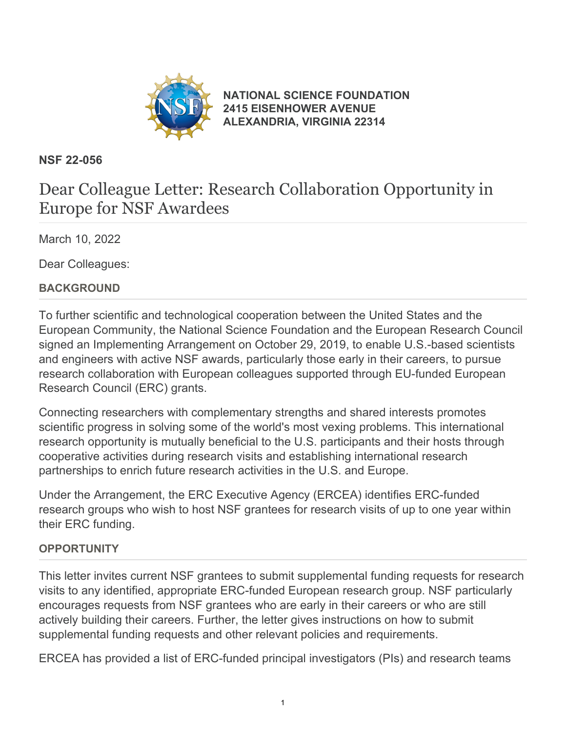

**[NATIONAL SCIENCE FOUNDATION](https://www.nsf.gov/) [2415 EISENHOWER AVENUE](https://www.nsf.gov/) [ALEXANDRIA, VIRGINIA 22314](https://www.nsf.gov/)**

# **NSF 22-056**

# Dear Colleague Letter: Research Collaboration Opportunity in Europe for NSF Awardees

March 10, 2022

Dear Colleagues:

# **BACKGROUND**

To further scientific and technological cooperation between the United States and the European Community, the National Science Foundation and the European Research Council signed an Implementing Arrangement on October 29, 2019, to enable U.S.-based scientists and engineers with active NSF awards, particularly those early in their careers, to pursue research collaboration with European colleagues supported through EU-funded European Research Council (ERC) grants.

Connecting researchers with complementary strengths and shared interests promotes scientific progress in solving some of the world's most vexing problems. This international research opportunity is mutually beneficial to the U.S. participants and their hosts through cooperative activities during research visits and establishing international research partnerships to enrich future research activities in the U.S. and Europe.

Under the Arrangement, the ERC Executive Agency (ERCEA) identifies ERC-funded research groups who wish to host NSF grantees for research visits of up to one year within their ERC funding.

#### **OPPORTUNITY**

This letter invites current NSF grantees to submit supplemental funding requests for research visits to any identified, appropriate ERC-funded European research group. NSF particularly encourages requests from NSF grantees who are early in their careers or who are still actively building their careers. Further, the letter gives instructions on how to submit supplemental funding requests and other relevant policies and requirements.

ERCEA has provided a list of ERC-funded principal investigators (PIs) and research teams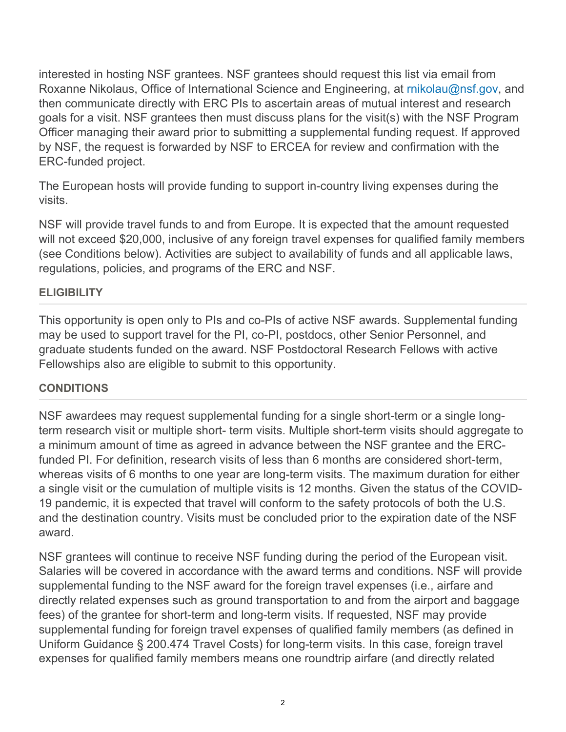interested in hosting NSF grantees. NSF grantees should request this list via email from Roxanne Nikolaus, Office of International Science and Engineering, at [rnikolau@nsf.gov](mailto:rnikolau@nsf.gov), and then communicate directly with ERC PIs to ascertain areas of mutual interest and research goals for a visit. NSF grantees then must discuss plans for the visit(s) with the NSF Program Officer managing their award prior to submitting a supplemental funding request. If approved by NSF, the request is forwarded by NSF to ERCEA for review and confirmation with the ERC-funded project.

The European hosts will provide funding to support in-country living expenses during the visits.

NSF will provide travel funds to and from Europe. It is expected that the amount requested will not exceed \$20,000, inclusive of any foreign travel expenses for qualified family members (see Conditions below). Activities are subject to availability of funds and all applicable laws, regulations, policies, and programs of the ERC and NSF.

#### **ELIGIBILITY**

This opportunity is open only to PIs and co-PIs of active NSF awards. Supplemental funding may be used to support travel for the PI, co-PI, postdocs, other Senior Personnel, and graduate students funded on the award. NSF Postdoctoral Research Fellows with active Fellowships also are eligible to submit to this opportunity.

# **CONDITIONS**

NSF awardees may request supplemental funding for a single short-term or a single longterm research visit or multiple short- term visits. Multiple short-term visits should aggregate to a minimum amount of time as agreed in advance between the NSF grantee and the ERCfunded PI. For definition, research visits of less than 6 months are considered short-term, whereas visits of 6 months to one year are long-term visits. The maximum duration for either a single visit or the cumulation of multiple visits is 12 months. Given the status of the COVID-19 pandemic, it is expected that travel will conform to the safety protocols of both the U.S. and the destination country. Visits must be concluded prior to the expiration date of the NSF award.

NSF grantees will continue to receive NSF funding during the period of the European visit. Salaries will be covered in accordance with the award terms and conditions. NSF will provide supplemental funding to the NSF award for the foreign travel expenses (i.e., airfare and directly related expenses such as ground transportation to and from the airport and baggage fees) of the grantee for short-term and long-term visits. If requested, NSF may provide supplemental funding for foreign travel expenses of qualified family members (as defined in Uniform Guidance § 200.474 Travel Costs) for long-term visits. In this case, foreign travel expenses for qualified family members means one roundtrip airfare (and directly related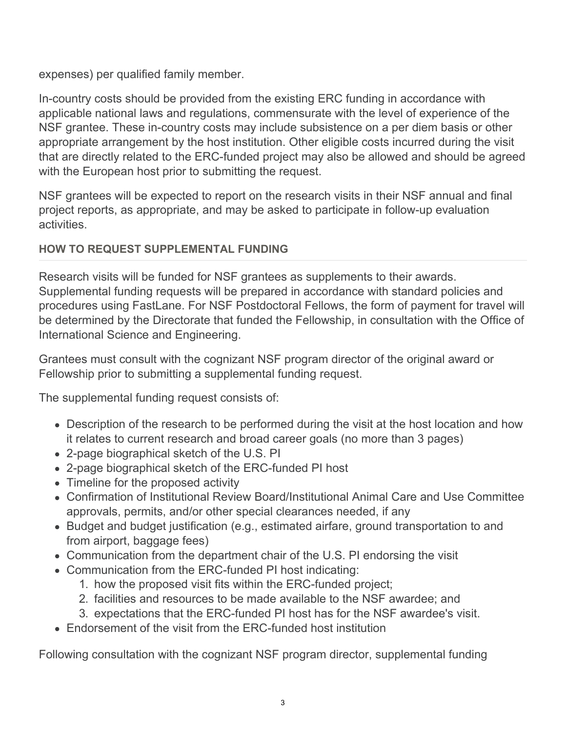expenses) per qualified family member.

In-country costs should be provided from the existing ERC funding in accordance with applicable national laws and regulations, commensurate with the level of experience of the NSF grantee. These in-country costs may include subsistence on a per diem basis or other appropriate arrangement by the host institution. Other eligible costs incurred during the visit that are directly related to the ERC-funded project may also be allowed and should be agreed with the European host prior to submitting the request.

NSF grantees will be expected to report on the research visits in their NSF annual and final project reports, as appropriate, and may be asked to participate in follow-up evaluation activities.

# **HOW TO REQUEST SUPPLEMENTAL FUNDING**

Research visits will be funded for NSF grantees as supplements to their awards. Supplemental funding requests will be prepared in accordance with standard policies and procedures using FastLane. For NSF Postdoctoral Fellows, the form of payment for travel will be determined by the Directorate that funded the Fellowship, in consultation with the Office of International Science and Engineering.

Grantees must consult with the cognizant NSF program director of the original award or Fellowship prior to submitting a supplemental funding request.

The supplemental funding request consists of:

- Description of the research to be performed during the visit at the host location and how it relates to current research and broad career goals (no more than 3 pages)
- 2-page biographical sketch of the U.S. PI
- 2-page biographical sketch of the ERC-funded PI host
- Timeline for the proposed activity
- Confirmation of Institutional Review Board/Institutional Animal Care and Use Committee approvals, permits, and/or other special clearances needed, if any
- Budget and budget justification (e.g., estimated airfare, ground transportation to and from airport, baggage fees)
- Communication from the department chair of the U.S. PI endorsing the visit
- Communication from the ERC-funded PI host indicating:
	- 1. how the proposed visit fits within the ERC-funded project;
	- 2. facilities and resources to be made available to the NSF awardee; and
	- 3. expectations that the ERC-funded PI host has for the NSF awardee's visit.
- Endorsement of the visit from the ERC-funded host institution

Following consultation with the cognizant NSF program director, supplemental funding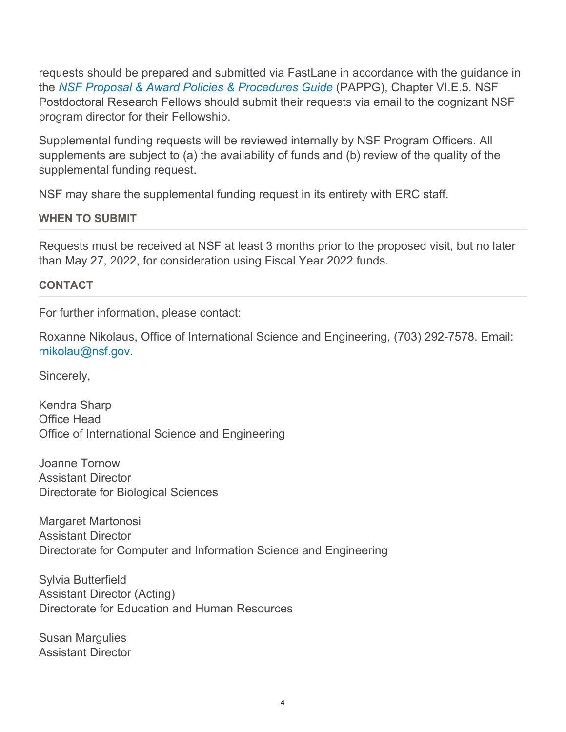requests should be prepared and submitted via FastLane in accordance with the guidance in the *[NSF Proposal & Award Policies & Procedures Guide](https://www.nsf.gov/publications/pub_summ.jsp?ods_key=pappg)* (PAPPG), Chapter VI.E.5. NSF Postdoctoral Research Fellows should submit their requests via email to the cognizant NSF program director for their Fellowship.

Supplemental funding requests will be reviewed internally by NSF Program Officers. All supplements are subject to (a) the availability of funds and (b) review of the quality of the supplemental funding request.

NSF may share the supplemental funding request in its entirety with ERC staff.

# **WHEN TO SUBMIT**

Requests must be received at NSF at least 3 months prior to the proposed visit, but no later than May 27, 2022, for consideration using Fiscal Year 2022 funds.

# **CONTACT**

For further information, please contact:

Roxanne Nikolaus, Office of International Science and Engineering, (703) 292-7578. Email: [rnikolau@nsf.gov](mailto:rnikolau@nsf.gov).

Sincerely,

Kendra Sharp Office Head Office of International Science and Engineering

Joanne Tornow Assistant Director Directorate for Biological Sciences

Margaret Martonosi Assistant Director Directorate for Computer and Information Science and Engineering

Sylvia Butterfield Assistant Director (Acting) Directorate for Education and Human Resources

Susan Margulies Assistant Director